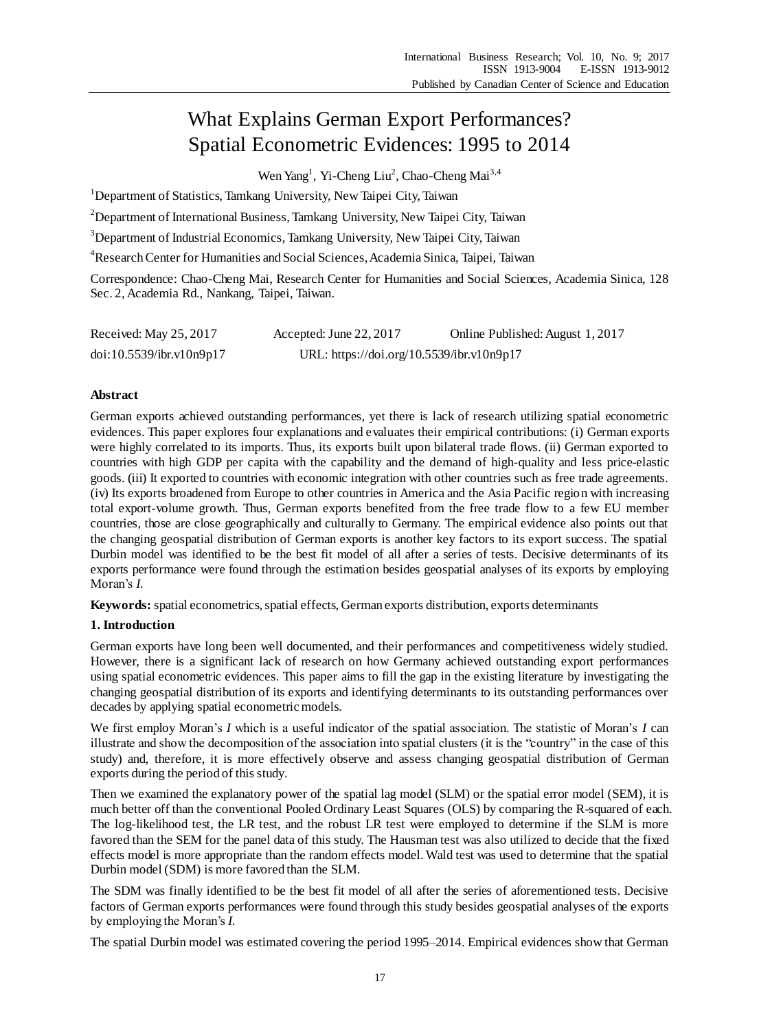# What Explains German Export Performances? Spatial Econometric Evidences: 1995 to 2014

Wen Yang<sup>1</sup>, Yi-Cheng Liu<sup>2</sup>, Chao-Cheng Mai<sup>3,4</sup>

<sup>1</sup>Department of Statistics, Tamkang University, New Taipei City, Taiwan

 $2D$ epartment of International Business, Tamkang University, New Taipei City, Taiwan

<sup>3</sup>Department of Industrial Economics, Tamkang University, New Taipei City, Taiwan

<sup>4</sup>Research Center for Humanities and Social Sciences, Academia Sinica, Taipei, Taiwan

Correspondence: Chao-Cheng Mai, Research Center for Humanities and Social Sciences, Academia Sinica, 128 Sec. 2, Academia Rd., Nankang, Taipei, Taiwan.

| Received: May 25, 2017   | Accepted: June $22, 2017$                 | Online Published: August 1, 2017 |
|--------------------------|-------------------------------------------|----------------------------------|
| doi:10.5539/ibr.v10n9p17 | URL: https://doi.org/10.5539/ibr.v10n9p17 |                                  |

# **Abstract**

German exports achieved outstanding performances, yet there is lack of research utilizing spatial econometric evidences. This paper explores four explanations and evaluates their empirical contributions: (i) German exports were highly correlated to its imports. Thus, its exports built upon bilateral trade flows. (ii) German exported to countries with high GDP per capita with the capability and the demand of high-quality and less price-elastic goods. (iii) It exported to countries with economic integration with other countries such as free trade agreements. (iv) Its exports broadened from Europe to other countries in America and the Asia Pacific region with increasing total export-volume growth. Thus, German exports benefited from the free trade flow to a few EU member countries, those are close geographically and culturally to Germany. The empirical evidence also points out that the changing geospatial distribution of German exports is another key factors to its export success. The spatial Durbin model was identified to be the best fit model of all after a series of tests. Decisive determinants of its exports performance were found through the estimation besides geospatial analyses of its exports by employing Moran's *I*.

**Keywords:** spatial econometrics, spatial effects, German exports distribution, exports determinants

## **1. Introduction**

German exports have long been well documented, and their performances and competitiveness widely studied. However, there is a significant lack of research on how Germany achieved outstanding export performances using spatial econometric evidences. This paper aims to fill the gap in the existing literature by investigating the changing geospatial distribution of its exports and identifying determinants to its outstanding performances over decades by applying spatial econometric models.

We first employ Moran's *I* which is a useful indicator of the spatial association. The statistic of Moran's *I* can illustrate and show the decomposition of the association into spatial clusters (it is the "country" in the case of this study) and, therefore, it is more effectively observe and assess changing geospatial distribution of German exports during the period of this study.

Then we examined the explanatory power of the spatial lag model (SLM) or the spatial error model (SEM), it is much better off than the conventional Pooled Ordinary Least Squares (OLS) by comparing the R-squared of each. The log-likelihood test, the LR test, and the robust LR test were employed to determine if the SLM is more favored than the SEM for the panel data of this study. The Hausman test was also utilized to decide that the fixed effects model is more appropriate than the random effects model. Wald test was used to determine that the spatial Durbin model (SDM) is more favored than the SLM.

The SDM was finally identified to be the best fit model of all after the series of aforementioned tests. Decisive factors of German exports performances were found through this study besides geospatial analyses of the exports by employing the Moran's *I*.

The spatial Durbin model was estimated covering the period 1995–2014. Empirical evidences show that German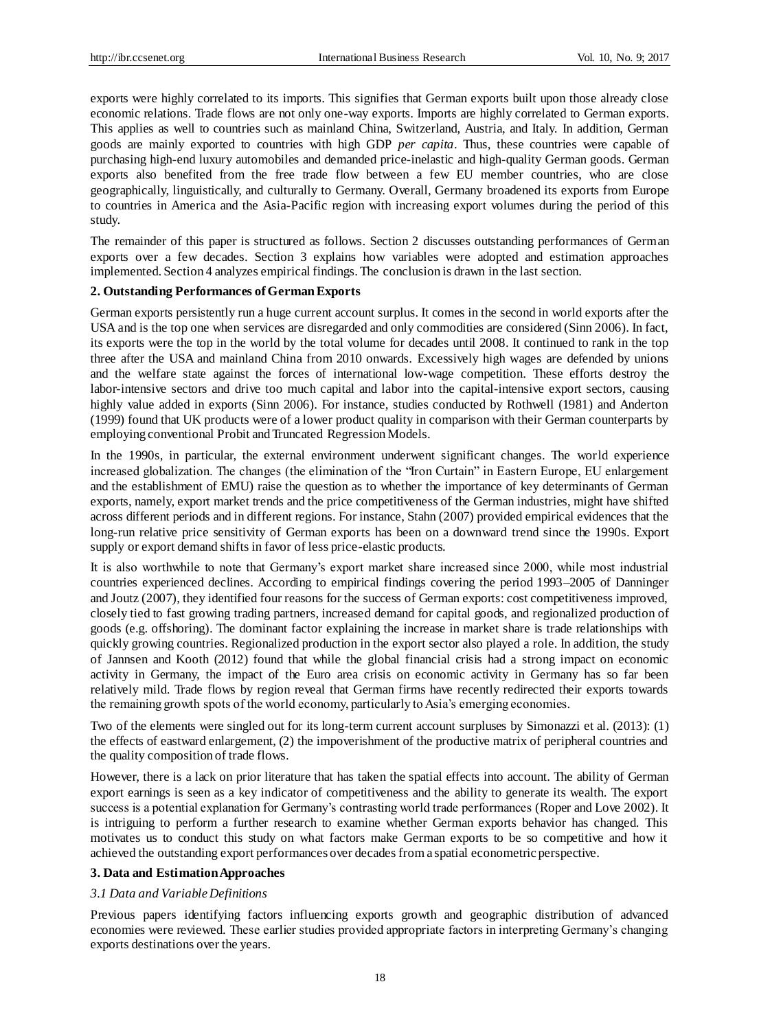exports were highly correlated to its imports. This signifies that German exports built upon those already close economic relations. Trade flows are not only one-way exports. Imports are highly correlated to German exports. This applies as well to countries such as mainland China, Switzerland, Austria, and Italy. In addition, German goods are mainly exported to countries with high GDP *per capita*. Thus, these countries were capable of purchasing high-end luxury automobiles and demanded price-inelastic and high-quality German goods. German exports also benefited from the free trade flow between a few EU member countries, who are close geographically, linguistically, and culturally to Germany. Overall, Germany broadened its exports from Europe to countries in America and the Asia-Pacific region with increasing export volumes during the period of this study.

The remainder of this paper is structured as follows. Section 2 discusses outstanding performances of German exports over a few decades. Section 3 explains how variables were adopted and estimation approaches implemented. Section 4 analyzes empirical findings. The conclusion is drawn in the last section.

#### **2. Outstanding Performances of German Exports**

German exports persistently run a huge current account surplus. It comes in the second in world exports after the USA and is the top one when services are disregarded and only commodities are considered (Sinn 2006). In fact, its exports were the top in the world by the total volume for decades until 2008. It continued to rank in the top three after the USA and mainland China from 2010 onwards. Excessively high wages are defended by unions and the welfare state against the forces of international low-wage competition. These efforts destroy the labor-intensive sectors and drive too much capital and labor into the capital-intensive export sectors, causing highly value added in exports (Sinn 2006). For instance, studies conducted by Rothwell (1981) and Anderton (1999) found that UK products were of a lower product quality in comparison with their German counterparts by employing conventional Probit and Truncated Regression Models.

In the 1990s, in particular, the external environment underwent significant changes. The world experience increased globalization. The changes (the elimination of the "Iron Curtain" in Eastern Europe, EU enlargement and the establishment of EMU) raise the question as to whether the importance of key determinants of German exports, namely, export market trends and the price competitiveness of the German industries, might have shifted across different periods and in different regions. For instance, Stahn (2007) provided empirical evidences that the long-run relative price sensitivity of German exports has been on a downward trend since the 1990s. Export supply or export demand shifts in favor of less price-elastic products.

It is also worthwhile to note that Germany's export market share increased since 2000, while most industrial countries experienced declines. According to empirical findings covering the period 1993–2005 of Danninger and Joutz (2007), they identified four reasons for the success of German exports: cost competitiveness improved, closely tied to fast growing trading partners, increased demand for capital goods, and regionalized production of goods (e.g. offshoring). The dominant factor explaining the increase in market share is trade relationships with quickly growing countries. Regionalized production in the export sector also played a role. In addition, the study of Jannsen and Kooth (2012) found that while the global financial crisis had a strong impact on economic activity in Germany, the impact of the Euro area crisis on economic activity in Germany has so far been relatively mild. Trade flows by region reveal that German firms have recently redirected their exports towards the remaining growth spots of the world economy, particularly to Asia's emerging economies.

Two of the elements were singled out for its long-term current account surpluses by Simonazzi et al. (2013): (1) the effects of eastward enlargement, (2) the impoverishment of the productive matrix of peripheral countries and the quality composition of trade flows.

However, there is a lack on prior literature that has taken the spatial effects into account. The ability of German export earnings is seen as a key indicator of competitiveness and the ability to generate its wealth. The export success is a potential explanation for Germany's contrasting world trade performances (Roper and Love 2002). It is intriguing to perform a further research to examine whether German exports behavior has changed. This motivates us to conduct this study on what factors make German exports to be so competitive and how it achieved the outstanding export performances over decades from a spatial econometric perspective.

## **3. Data and Estimation Approaches**

## *3.1 Data and Variable Definitions*

Previous papers identifying factors influencing exports growth and geographic distribution of advanced economies were reviewed. These earlier studies provided appropriate factors in interpreting Germany's changing exports destinations over the years.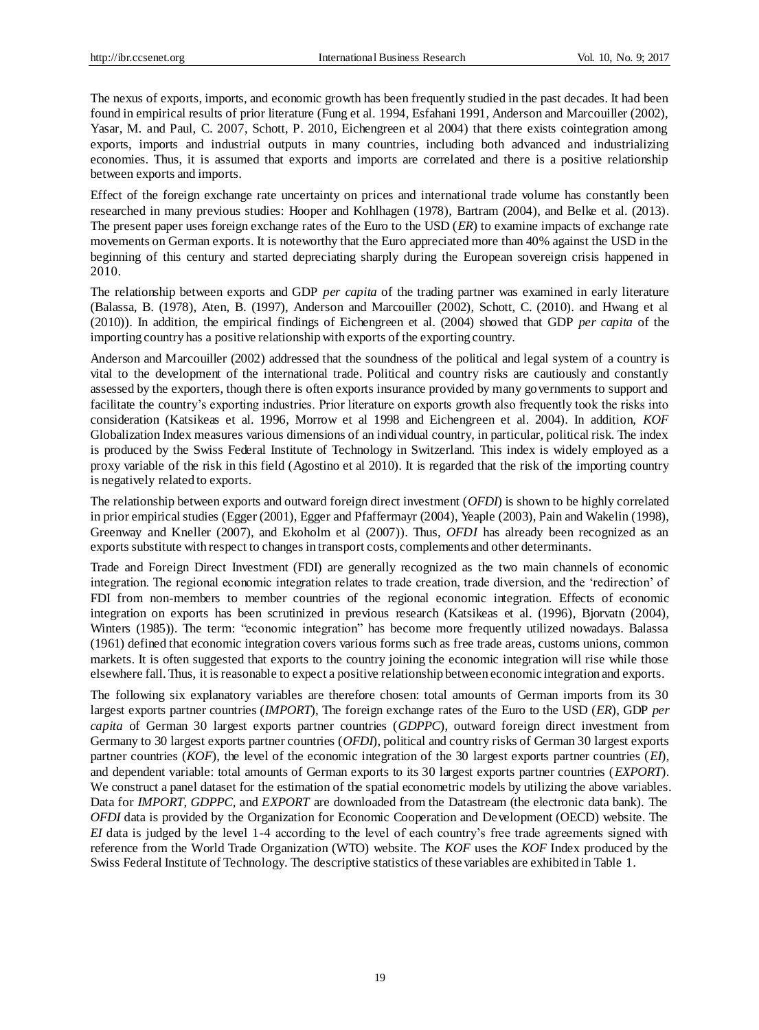The nexus of exports, imports, and economic growth has been frequently studied in the past decades. It had been found in empirical results of prior literature (Fung et al. 1994, Esfahani 1991, Anderson and Marcouiller (2002), Yasar, M. and Paul, C. 2007, Schott, P. 2010, Eichengreen et al 2004) that there exists cointegration among exports, imports and industrial outputs in many countries, including both advanced and industrializing economies. Thus, it is assumed that exports and imports are correlated and there is a positive relationship between exports and imports.

Effect of the foreign exchange rate uncertainty on prices and international trade volume has constantly been researched in many previous studies: Hooper and Kohlhagen (1978), Bartram (2004), and Belke et al. (2013). The present paper uses foreign exchange rates of the Euro to the USD (*ER*) to examine impacts of exchange rate movements on German exports. It is noteworthy that the Euro appreciated more than 40% against the USD in the beginning of this century and started depreciating sharply during the European sovereign crisis happened in 2010.

The relationship between exports and GDP *per capita* of the trading partner was examined in early literature (Balassa, B. (1978), Aten, B. (1997), Anderson and Marcouiller (2002), Schott, C. (2010). and Hwang et al (2010)). In addition, the empirical findings of Eichengreen et al. (2004) showed that GDP *per capita* of the importing country has a positive relationship with exports of the exporting country.

Anderson and Marcouiller (2002) addressed that the soundness of the political and legal system of a country is vital to the development of the international trade. Political and country risks are cautiously and constantly assessed by the exporters, though there is often exports insurance provided by many governments to support and facilitate the country's exporting industries. Prior literature on exports growth also frequently took the risks into consideration (Katsikeas et al. 1996, Morrow et al 1998 and Eichengreen et al. 2004). In addition, *KOF* Globalization Index measures various dimensions of an individual country, in particular, political risk. The index is produced by the Swiss Federal Institute of Technology in Switzerland. This index is widely employed as a proxy variable of the risk in this field (Agostino et al 2010). It is regarded that the risk of the importing country is negatively related to exports.

The relationship between exports and outward foreign direct investment (*OFDI*) is shown to be highly correlated in prior empirical studies (Egger (2001), Egger and Pfaffermayr (2004), Yeaple (2003), Pain and Wakelin (1998), Greenway and Kneller (2007), and Ekoholm et al (2007)). Thus, *OFDI* has already been recognized as an exports substitute with respect to changes in transport costs, complements and other determinants.

Trade and Foreign Direct Investment (FDI) are generally recognized as the two main channels of economic integration. The regional economic integration relates to trade creation, trade diversion, and the 'redirection' of FDI from non-members to member countries of the regional economic integration. Effects of economic integration on exports has been scrutinized in previous research (Katsikeas et al. (1996), Bjorvatn (2004), Winters (1985)). The term: "economic integration" has become more frequently utilized nowadays. Balassa (1961) defined that economic integration covers various forms such as free trade areas, customs unions, common markets. It is often suggested that exports to the country joining the economic integration will rise while those elsewhere fall. Thus, it is reasonable to expect a positive relationship between economic integration and exports.

The following six explanatory variables are therefore chosen: total amounts of German imports from its 30 largest exports partner countries (*IMPORT*), The foreign exchange rates of the Euro to the USD (*ER*), GDP *per capita* of German 30 largest exports partner countries (*GDPPC*), outward foreign direct investment from Germany to 30 largest exports partner countries (*OFDI*), political and country risks of German 30 largest exports partner countries (*KOF*), the level of the economic integration of the 30 largest exports partner countries (*EI*), and dependent variable: total amounts of German exports to its 30 largest exports partner countries (*EXPORT*). We construct a panel dataset for the estimation of the spatial econometric models by utilizing the above variables. Data for *IMPORT*, *GDPPC*, and *EXPORT* are downloaded from the Datastream (the electronic data bank). The *OFDI* data is provided by the Organization for Economic Cooperation and Development (OECD) website. The *EI* data is judged by the level 1-4 according to the level of each country's free trade agreements signed with reference from the World Trade Organization (WTO) website. The *KOF* uses the *KOF* Index produced by the Swiss Federal Institute of Technology. The descriptive statistics of these variables are exhibited in Table 1.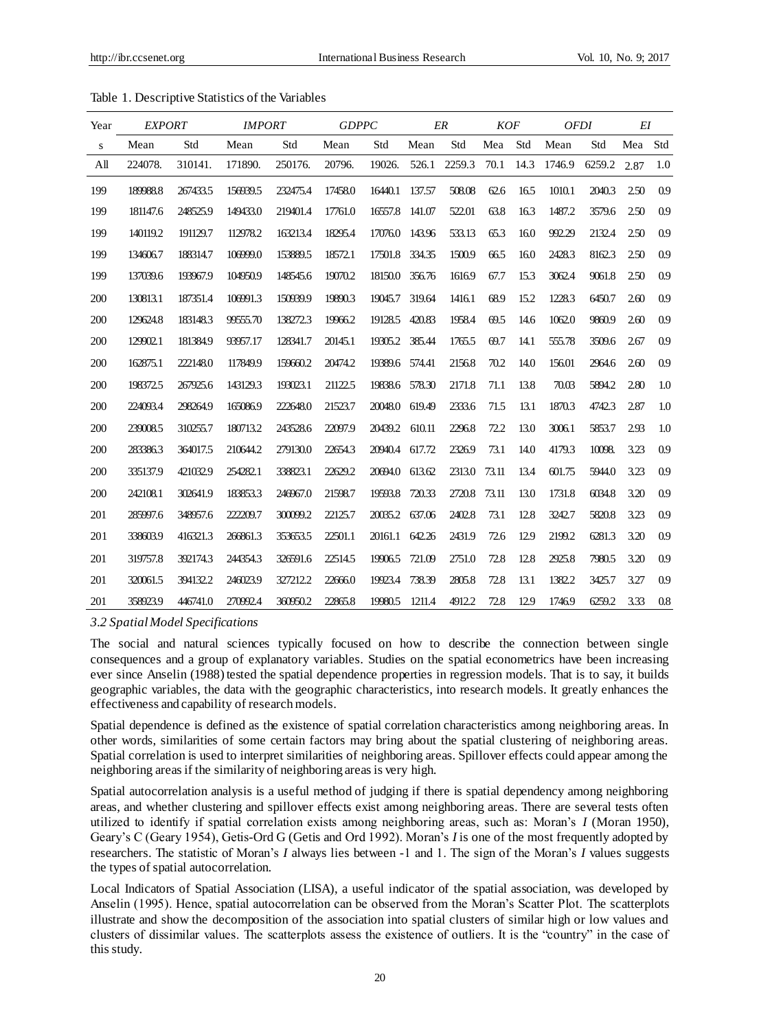| Year | <b>EXPORT</b> |          | <b>IMPORT</b> |          | <b>GDPPC</b> |         |        | ER     | KOF   |      | <b>OFDI</b> |        | EI   |     |
|------|---------------|----------|---------------|----------|--------------|---------|--------|--------|-------|------|-------------|--------|------|-----|
| S    | Mean          | Std      | Mean          | Std      | Mean         | Std     | Mean   | Std    | Mea   | Std  | Mean        | Std    | Mea  | Std |
| All  | 224078.       | 310141.  | 171890.       | 250176.  | 20796.       | 19026.  | 526.1  | 2259.3 | 70.1  | 14.3 | 1746.9      | 6259.2 | 2.87 | 1.0 |
| 199  | 189988.8      | 267433.5 | 156939.5      | 232475.4 | 17458.0      | 16440.1 | 137.57 | 508.08 | 62.6  | 16.5 | 1010.1      | 2040.3 | 2.50 | 0.9 |
| 199  | 181147.6      | 248525.9 | 149433.0      | 219401.4 | 17761.0      | 16557.8 | 141.07 | 522.01 | 63.8  | 16.3 | 1487.2      | 3579.6 | 2.50 | 0.9 |
| 199  | 140119.2      | 191129.7 | 112978.2      | 163213.4 | 18295.4      | 17076.0 | 143.96 | 533.13 | 65.3  | 16.0 | 992.29      | 2132.4 | 2.50 | 0.9 |
| 199  | 134606.7      | 188314.7 | 106999.0      | 153889.5 | 18572.1      | 17501.8 | 334.35 | 1500.9 | 66.5  | 16.0 | 2428.3      | 8162.3 | 2.50 | 0.9 |
| 199  | 137039.6      | 193967.9 | 104950.9      | 148545.6 | 19070.2      | 18150.0 | 356.76 | 1616.9 | 67.7  | 15.3 | 3062.4      | 9061.8 | 2.50 | 0.9 |
| 200  | 130813.1      | 187351.4 | 106991.3      | 150939.9 | 19890.3      | 19045.7 | 319.64 | 1416.1 | 68.9  | 15.2 | 1228.3      | 6450.7 | 2.60 | 0.9 |
| 200  | 129624.8      | 183148.3 | 99555.70      | 138272.3 | 19966.2      | 19128.5 | 420.83 | 1958.4 | 69.5  | 14.6 | 1062.0      | 9860.9 | 2.60 | 0.9 |
| 200  | 129902.1      | 181384.9 | 93957.17      | 128341.7 | 20145.1      | 19305.2 | 385.44 | 1765.5 | 69.7  | 14.1 | 555.78      | 3509.6 | 2.67 | 0.9 |
| 200  | 162875.1      | 222148.0 | 117849.9      | 159660.2 | 20474.2      | 19389.6 | 574.41 | 2156.8 | 70.2  | 14.0 | 156.01      | 2964.6 | 2.60 | 0.9 |
| 200  | 198372.5      | 267925.6 | 143129.3      | 193023.1 | 21122.5      | 19838.6 | 578.30 | 2171.8 | 71.1  | 13.8 | 70.03       | 5894.2 | 2.80 | 1.0 |
| 200  | 224093.4      | 298264.9 | 165086.9      | 222648.0 | 21523.7      | 20048.0 | 619.49 | 2333.6 | 71.5  | 13.1 | 1870.3      | 4742.3 | 2.87 | 1.0 |
| 200  | 239008.5      | 310255.7 | 180713.2      | 243528.6 | 22097.9      | 20439.2 | 610.11 | 2296.8 | 72.2  | 13.0 | 3006.1      | 5853.7 | 2.93 | 1.0 |
| 200  | 283386.3      | 364017.5 | 210644.2      | 279130.0 | 22654.3      | 20940.4 | 617.72 | 2326.9 | 73.1  | 14.0 | 4179.3      | 10098. | 3.23 | 0.9 |
| 200  | 335137.9      | 421032.9 | 254282.1      | 338823.1 | 22629.2      | 20694.0 | 613.62 | 2313.0 | 73.11 | 13.4 | 601.75      | 5944.0 | 3.23 | 0.9 |
| 200  | 242108.1      | 302641.9 | 183853.3      | 246967.0 | 21598.7      | 19593.8 | 720.33 | 2720.8 | 73.11 | 13.0 | 1731.8      | 6034.8 | 3.20 | 0.9 |
| 201  | 285997.6      | 348957.6 | 222209.7      | 300099.2 | 22125.7      | 20035.2 | 637.06 | 2402.8 | 73.1  | 12.8 | 3242.7      | 5820.8 | 3.23 | 0.9 |
| 201  | 338603.9      | 416321.3 | 266861.3      | 353653.5 | 22501.1      | 20161.1 | 642.26 | 2431.9 | 72.6  | 12.9 | 2199.2      | 6281.3 | 3.20 | 0.9 |
| 201  | 319757.8      | 392174.3 | 244354.3      | 326591.6 | 22514.5      | 19906.5 | 721.09 | 2751.0 | 72.8  | 12.8 | 2925.8      | 7980.5 | 3.20 | 0.9 |
| 201  | 320061.5      | 394132.2 | 246023.9      | 327212.2 | 22666.0      | 19923.4 | 738.39 | 2805.8 | 72.8  | 13.1 | 1382.2      | 3425.7 | 3.27 | 0.9 |
| 201  | 358923.9      | 446741.0 | 270992.4      | 360950.2 | 22865.8      | 19980.5 | 1211.4 | 4912.2 | 72.8  | 12.9 | 1746.9      | 6259.2 | 3.33 | 0.8 |

Table 1. Descriptive Statistics of the Variables

#### 4 2 5 5 *3.2 Spatial Model Specifications* 8

The social and natural sciences typically focused on how to describe the connection between single consequences and a group of explanatory variables. Studies on the spatial econometrics have been increasing ever since Anselin (1988) tested the spatial dependence properties in regression models. That is to say, it builds geographic variables, the data with the geographic characteristics, into research models. It greatly enhances the effectiveness and capability of research models.

Spatial dependence is defined as the existence of spatial correlation characteristics among neighboring areas. In other words, similarities of some certain factors may bring about the spatial clustering of neighboring areas. Spatial correlation is used to interpret similarities of neighboring areas. Spillover effects could appear among the neighboring areas if the similarity of neighboring areas is very high.

Spatial autocorrelation analysis is a useful method of judging if there is spatial dependency among neighboring areas, and whether clustering and spillover effects exist among neighboring areas. There are several tests often utilized to identify if spatial correlation exists among neighboring areas, such as: Moran's *I* (Moran 1950), Geary's C (Geary 1954), Getis-Ord G (Getis and Ord 1992). Moran's *I* is one of the most frequently adopted by researchers. The statistic of Moran's *I* always lies between -1 and 1. The sign of the Moran's *I* values suggests the types of spatial autocorrelation.

Local Indicators of Spatial Association (LISA), a useful indicator of the spatial association, was developed by Anselin (1995). Hence, spatial autocorrelation can be observed from the Moran's Scatter Plot. The scatterplots illustrate and show the decomposition of the association into spatial clusters of similar high or low values and clusters of dissimilar values. The scatterplots assess the existence of outliers. It is the "country" in the case of this study.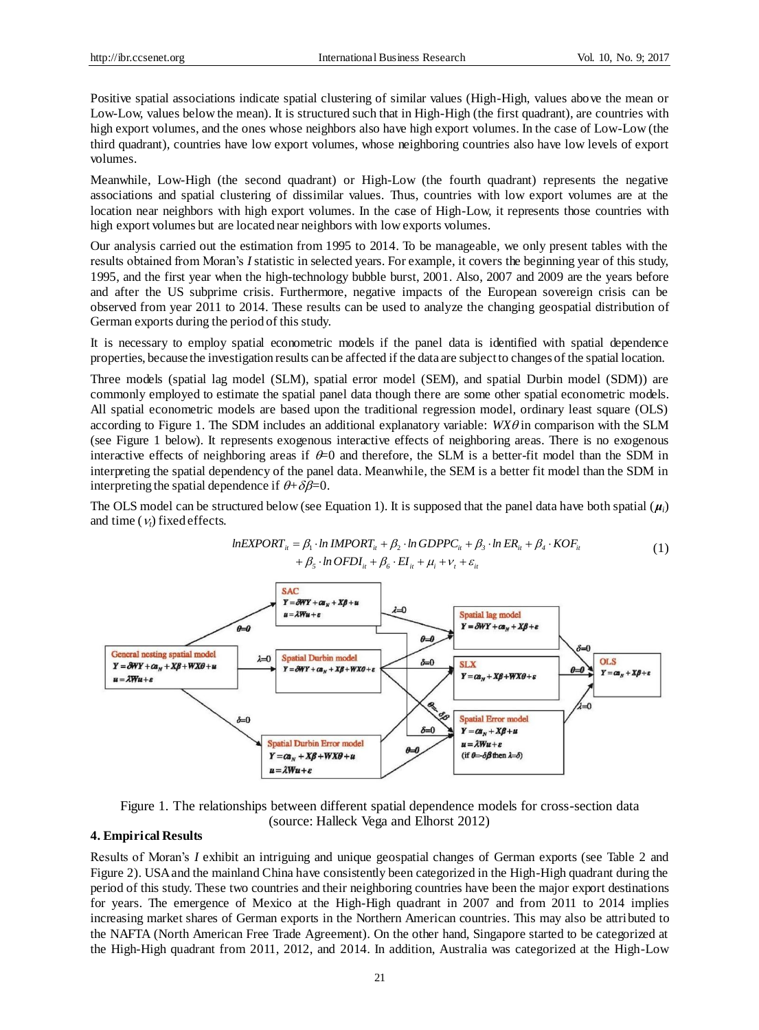Positive spatial associations indicate spatial clustering of similar values (High-High, values above the mean or Low-Low, values below the mean). It is structured such that in High-High (the first quadrant), are countries with high export volumes, and the ones whose neighbors also have high export volumes. In the case of Low-Low (the third quadrant), countries have low export volumes, whose neighboring countries also have low levels of export volumes.

Meanwhile, Low-High (the second quadrant) or High-Low (the fourth quadrant) represents the negative associations and spatial clustering of dissimilar values. Thus, countries with low export volumes are at the location near neighbors with high export volumes. In the case of High-Low, it represents those countries with high export volumes but are located near neighbors with low exports volumes.

Our analysis carried out the estimation from 1995 to 2014. To be manageable, we only present tables with the results obtained from Moran's *I* statistic in selected years. For example, it covers the beginning year of this study, 1995, and the first year when the high-technology bubble burst, 2001. Also, 2007 and 2009 are the years before and after the US subprime crisis. Furthermore, negative impacts of the European sovereign crisis can be observed from year 2011 to 2014. These results can be used to analyze the changing geospatial distribution of German exports during the period of this study.

It is necessary to employ spatial econometric models if the panel data is identified with spatial dependence properties, because the investigation results can be affected if the data are subject to changes of the spatial location.

Three models (spatial lag model (SLM), spatial error model (SEM), and spatial Durbin model (SDM)) are commonly employed to estimate the spatial panel data though there are some other spatial econometric models. All spatial econometric models are based upon the traditional regression model, ordinary least square (OLS) according to Figure 1. The SDM includes an additional explanatory variable:  $W\mathcal{X}\theta$  in comparison with the SLM (see Figure 1 below). It represents exogenous interactive effects of neighboring areas. There is no exogenous interactive effects of neighboring areas if  $\theta$ =0 and therefore, the SLM is a better-fit model than the SDM in interpreting the spatial dependency of the panel data. Meanwhile, the SEM is a better fit model than the SDM in interpreting the spatial dependence if  $\theta$ + $\delta\beta$ =0.

The OLS model can be structured below (see Equation 1). It is supposed that the panel data have both spatial  $(\mu_i)$ and time  $(v_t)$  fixed effects.

$$
lnEXPORT_{ii} = \beta_1 \cdot ln IMPORT_{ii} + \beta_2 \cdot ln GDPPC_{ii} + \beta_3 \cdot ln ER_{ii} + \beta_4 \cdot KOF_{ii}
$$
  
+  $\beta_5 \cdot ln OFDI_{ii} + \beta_6 \cdot EI_{ii} + \mu_i + \nu_i + \varepsilon_{ii}$  (1)



Figure 1. The relationships between different spatial dependence models for cross-section data (source: Halleck Vega and Elhorst 2012)

# **4. Empirical Results**

Results of Moran's *I* exhibit an intriguing and unique geospatial changes of German exports (see Table 2 and Figure 2). USA and the mainland China have consistently been categorized in the High-High quadrant during the period of this study. These two countries and their neighboring countries have been the major export destinations for years. The emergence of Mexico at the High-High quadrant in 2007 and from 2011 to 2014 implies increasing market shares of German exports in the Northern American countries. This may also be attributed to the NAFTA (North American Free Trade Agreement). On the other hand, Singapore started to be categorized at the High-High quadrant from 2011, 2012, and 2014. In addition, Australia was categorized at the High-Low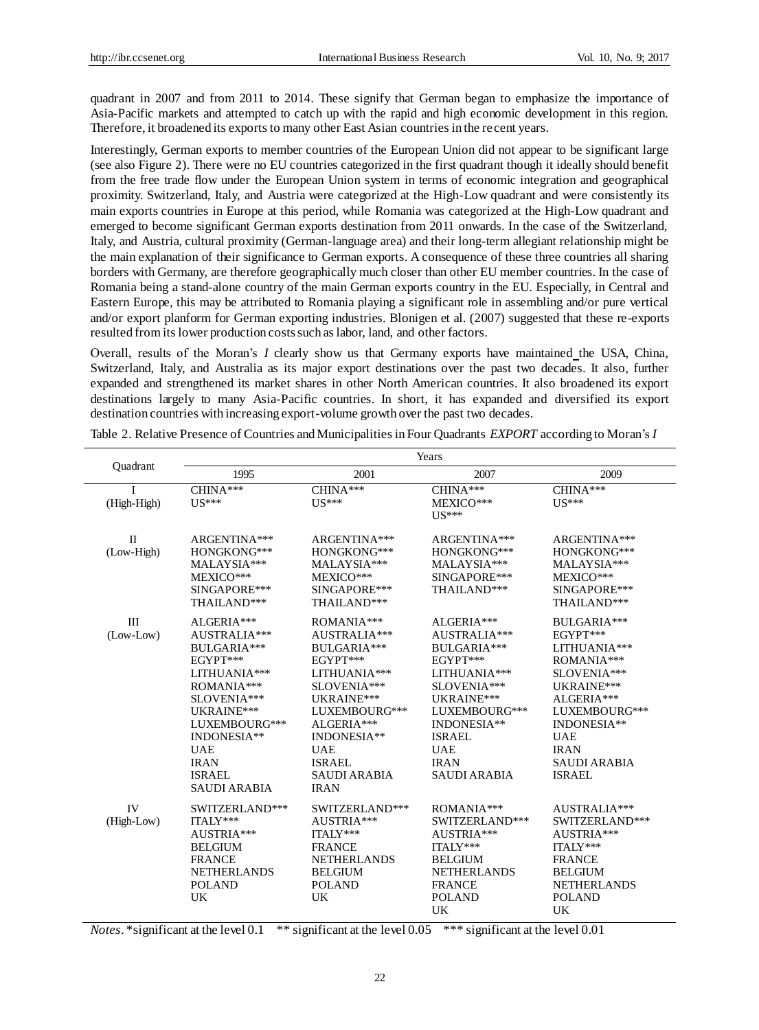quadrant in 2007 and from 2011 to 2014. These signify that German began to emphasize the importance of Asia-Pacific markets and attempted to catch up with the rapid and high economic development in this region. Therefore, it broadened its exports to many other East Asian countries in the recent years.

Interestingly, German exports to member countries of the European Union did not appear to be significant large (see also Figure 2). There were no EU countries categorized in the first quadrant though it ideally should benefit from the free trade flow under the European Union system in terms of economic integration and geographical proximity. Switzerland, Italy, and Austria were categorized at the High-Low quadrant and were consistently its main exports countries in Europe at this period, while Romania was categorized at the High-Low quadrant and emerged to become significant German exports destination from 2011 onwards. In the case of the Switzerland, Italy, and Austria, cultural proximity (German-language area) and their long-term allegiant relationship might be the main explanation of their significance to German exports. A consequence of these three countries all sharing borders with Germany, are therefore geographically much closer than other EU member countries. In the case of Romania being a stand-alone country of the main German exports country in the EU. Especially, in Central and Eastern Europe, this may be attributed to Romania playing a significant role in assembling and/or pure vertical and/or export planform for German exporting industries. Blonigen et al. (2007) suggested that these re-exports resulted from its lower production costs such as labor, land, and other factors.

Overall, results of the Moran's *I* clearly show us that Germany exports have maintained the USA, China, Switzerland, Italy, and Australia as its major export destinations over the past two decades. It also, further expanded and strengthened its market shares in other North American countries. It also broadened its export destinations largely to many Asia-Pacific countries. In short, it has expanded and diversified its export destination countries with increasing export-volume growth over the past two decades.

|                  | Years                                                                                                                                                                                                                 |                                                                                                                                                                                                                       |                                                                                                                                                                                                         |                                                                                                                                                                                                       |  |  |  |
|------------------|-----------------------------------------------------------------------------------------------------------------------------------------------------------------------------------------------------------------------|-----------------------------------------------------------------------------------------------------------------------------------------------------------------------------------------------------------------------|---------------------------------------------------------------------------------------------------------------------------------------------------------------------------------------------------------|-------------------------------------------------------------------------------------------------------------------------------------------------------------------------------------------------------|--|--|--|
| Quadrant         | 1995                                                                                                                                                                                                                  | 2001                                                                                                                                                                                                                  | 2007                                                                                                                                                                                                    | 2009                                                                                                                                                                                                  |  |  |  |
| L<br>(High-High) | $CHINA***$<br>$US***$                                                                                                                                                                                                 | $CHINA***$<br>$US***$                                                                                                                                                                                                 | $CHINA***$<br>MEXICO***<br>$US***$                                                                                                                                                                      | $CHINA***$<br>$US***$                                                                                                                                                                                 |  |  |  |
| П<br>(Low-High)  | ARGENTINA***<br>HONGKONG***<br>MALAYSIA***<br>MEXICO***<br>SINGAPORE***<br>THAILAND***                                                                                                                                | ARGENTINA***<br>HONGKONG***<br>MALAYSIA***<br>MEXICO***<br>SINGAPORE***<br>THAILAND***                                                                                                                                | ARGENTINA***<br>HONGKONG***<br>MALAYSIA***<br>SINGAPORE***<br>THAILAND***                                                                                                                               | ARGENTINA***<br>HONGKONG***<br>MALAYSIA***<br>MEXICO***<br>SINGAPORE***<br>THAILAND***                                                                                                                |  |  |  |
| Ш<br>(Low-Low)   | ALGERIA***<br>AUSTRALIA***<br>BULGARIA***<br>EGYPT***<br>LITHUANIA***<br>ROMANIA***<br>SLOVENIA***<br>UKRAINE***<br>LUXEMBOURG***<br>INDONESIA**<br><b>UAE</b><br><b>IRAN</b><br><b>ISRAEL</b><br><b>SAUDI ARABIA</b> | ROMANIA***<br>AUSTRALIA***<br>BULGARIA***<br>EGYPT***<br>LITHUANIA***<br>SLOVENIA***<br>UKRAINE***<br>LUXEMBOURG***<br>ALGERIA***<br>INDONESIA**<br><b>UAE</b><br><b>ISRAEL</b><br><b>SAUDI ARABIA</b><br><b>IRAN</b> | ALGERIA***<br>AUSTRALIA***<br>BULGARIA***<br>EGYPT***<br>LITHUANIA***<br>SLOVENIA***<br>UKRAINE***<br>LUXEMBOURG***<br>INDONESIA**<br><b>ISRAEL</b><br><b>UAE</b><br><b>IRAN</b><br><b>SAUDI ARABIA</b> | BULGARIA***<br>EGYPT***<br>LITHUANIA***<br>ROMANIA***<br>SLOVENIA***<br>UKRAINE***<br>ALGERIA***<br>LUXEMBOURG***<br>INDONESIA**<br><b>UAE</b><br><b>IRAN</b><br><b>SAUDI ARABIA</b><br><b>ISRAEL</b> |  |  |  |
| IV<br>(High-Low) | SWITZERLAND***<br>$ITAIY***$<br>AUSTRIA***<br><b>BELGIUM</b><br><b>FRANCE</b><br><b>NETHERLANDS</b><br><b>POLAND</b><br>UK                                                                                            | SWITZERLAND***<br>AUSTRIA***<br>ITALY***<br><b>FRANCE</b><br><b>NETHERLANDS</b><br><b>BELGIUM</b><br><b>POLAND</b><br>UK                                                                                              | ROMANIA***<br>SWITZERLAND***<br>AUSTRIA***<br>ITALY***<br><b>BELGIUM</b><br><b>NETHERLANDS</b><br><b>FRANCE</b><br><b>POLAND</b><br><b>UK</b>                                                           | AUSTRALIA***<br>SWITZERLAND***<br>AUSTRIA***<br>ITALY***<br><b>FRANCE</b><br><b>BELGIUM</b><br><b>NETHERLANDS</b><br><b>POLAND</b><br>UK                                                              |  |  |  |

Table 2. Relative Presence of Countries and Municipalities in Four Quadrants *EXPORT* according to Moran's *I*

*Notes*. \*significant at the level 0.1 \*\* significant at the level 0.05 \*\*\* significant at the level 0.01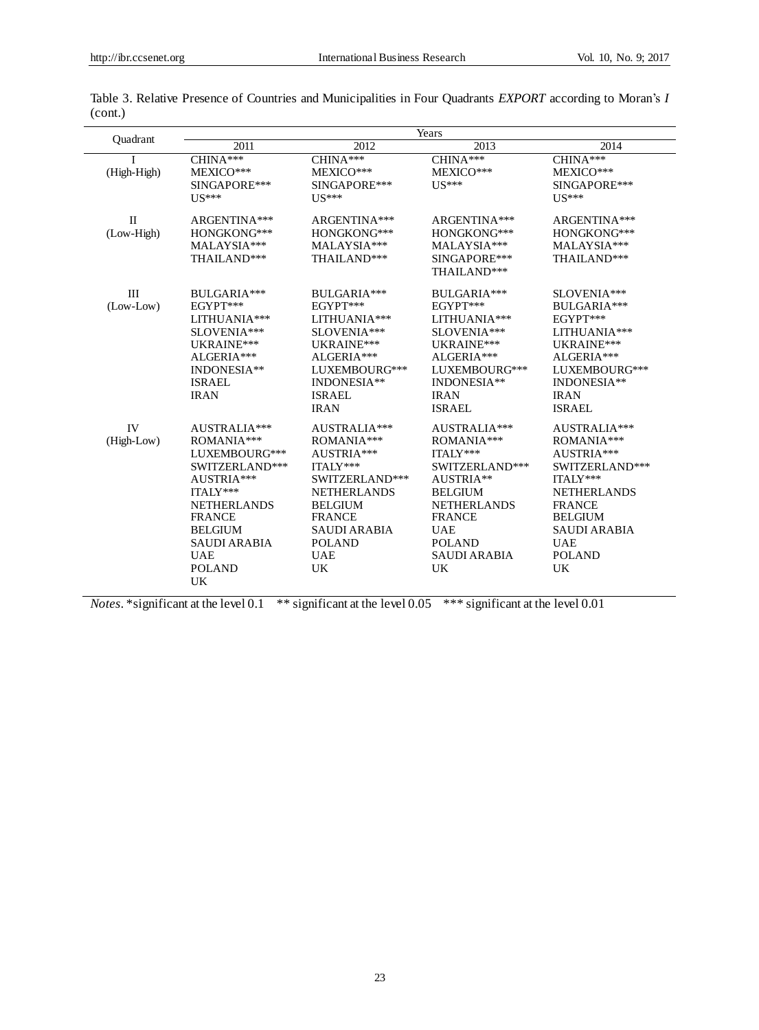|                            |                                                                                                                                                                                                                     |                                                                                                                                                                                             | Years                                                                                                                                                                                        |                                                                                                                                                                                                    |
|----------------------------|---------------------------------------------------------------------------------------------------------------------------------------------------------------------------------------------------------------------|---------------------------------------------------------------------------------------------------------------------------------------------------------------------------------------------|----------------------------------------------------------------------------------------------------------------------------------------------------------------------------------------------|----------------------------------------------------------------------------------------------------------------------------------------------------------------------------------------------------|
| Quadrant                   | 2011                                                                                                                                                                                                                | 2012                                                                                                                                                                                        | 2013                                                                                                                                                                                         | 2014                                                                                                                                                                                               |
| L<br>(High-High)           | CHINA***<br>MEXICO***<br>SINGAPORE***<br>$US***$                                                                                                                                                                    | CHINA***<br>MEXICO***<br>SINGAPORE***<br>$US***$                                                                                                                                            | $CHINA$ ***<br>MEXICO***<br>$US***$                                                                                                                                                          | $CHINA***$<br>MEXICO***<br>SINGAPORE***<br>$US***$                                                                                                                                                 |
| $\mathbf{I}$<br>(Low-High) | ARGENTINA***<br>HONGKONG***<br>MALAYSIA***<br>THAILAND***                                                                                                                                                           | ARGENTINA***<br>HONGKONG***<br>MALAYSIA***<br>THAILAND***                                                                                                                                   | ARGENTINA***<br>HONGKONG***<br>MALAYSIA***<br>SINGAPORE***<br>THAILAND***                                                                                                                    | ARGENTINA***<br>HONGKONG***<br>MALAYSIA***<br>THAILAND***                                                                                                                                          |
| III<br>(Low-Low)           | BULGARIA***<br>EGYPT***<br>LITHUANIA***<br>SLOVENIA***<br>UKRAINE***<br>$A L$ GERIA***<br>INDONESIA**<br><b>ISRAEL</b><br><b>IRAN</b>                                                                               | BULGARIA***<br>EGYPT***<br>LITHUANIA***<br>SLOVENIA***<br>UKRAINE***<br>$A L$ GERIA***<br>LUXEMBOURG***<br>INDONESIA**<br><b>ISRAEL</b><br><b>IRAN</b>                                      | BULGARIA***<br>EGYPT***<br>LITHUANIA***<br>SLOVENIA***<br>UKRAINE***<br>ALGERIA***<br>LUXEMBOURG***<br>INDONESIA**<br><b>IRAN</b><br><b>ISRAEL</b>                                           | SLOVENIA***<br>BULGARIA***<br>EGYPT***<br>LITHUANIA***<br>UKRAINE***<br>$A L$ GERIA***<br>LUXEMBOURG***<br>INDONESIA**<br><b>IRAN</b><br><b>ISRAEL</b>                                             |
| IV<br>(High-Low)           | AUSTRALIA***<br>ROMANIA***<br>LUXEMBOURG***<br>SWITZERLAND***<br>AUSTRIA***<br>ITALY***<br><b>NETHERLANDS</b><br><b>FRANCE</b><br><b>BELGIUM</b><br><b>SAUDI ARABIA</b><br><b>UAE</b><br><b>POLAND</b><br><b>UK</b> | AUSTRALIA***<br>ROMANIA***<br>AUSTRIA***<br>ITALY***<br>SWITZERLAND***<br><b>NETHERLANDS</b><br><b>BELGIUM</b><br><b>FRANCE</b><br><b>SAUDI ARABIA</b><br><b>POLAND</b><br><b>UAE</b><br>UK | AUSTRALIA***<br>ROMANIA***<br>$ITAIY***$<br>SWITZERLAND***<br>AUSTRIA**<br><b>BELGIUM</b><br><b>NETHERLANDS</b><br><b>FRANCE</b><br><b>UAE</b><br><b>POLAND</b><br><b>SAUDI ARABIA</b><br>UK | AUSTRALIA***<br>ROMANIA***<br>AUSTRIA***<br>SWITZERLAND***<br>ITALY***<br><b>NETHERLANDS</b><br><b>FRANCE</b><br><b>BELGIUM</b><br><b>SAUDI ARABIA</b><br><b>UAE</b><br><b>POLAND</b><br><b>UK</b> |

| Table 3. Relative Presence of Countries and Municipalities in Four Quadrants EXPORT according to Moran's I |  |  |  |  |
|------------------------------------------------------------------------------------------------------------|--|--|--|--|
| (cont.)                                                                                                    |  |  |  |  |

*Notes.* \*significant at the level 0.1 \*\* significant at the level 0.05 \*\*\* significant at the level 0.01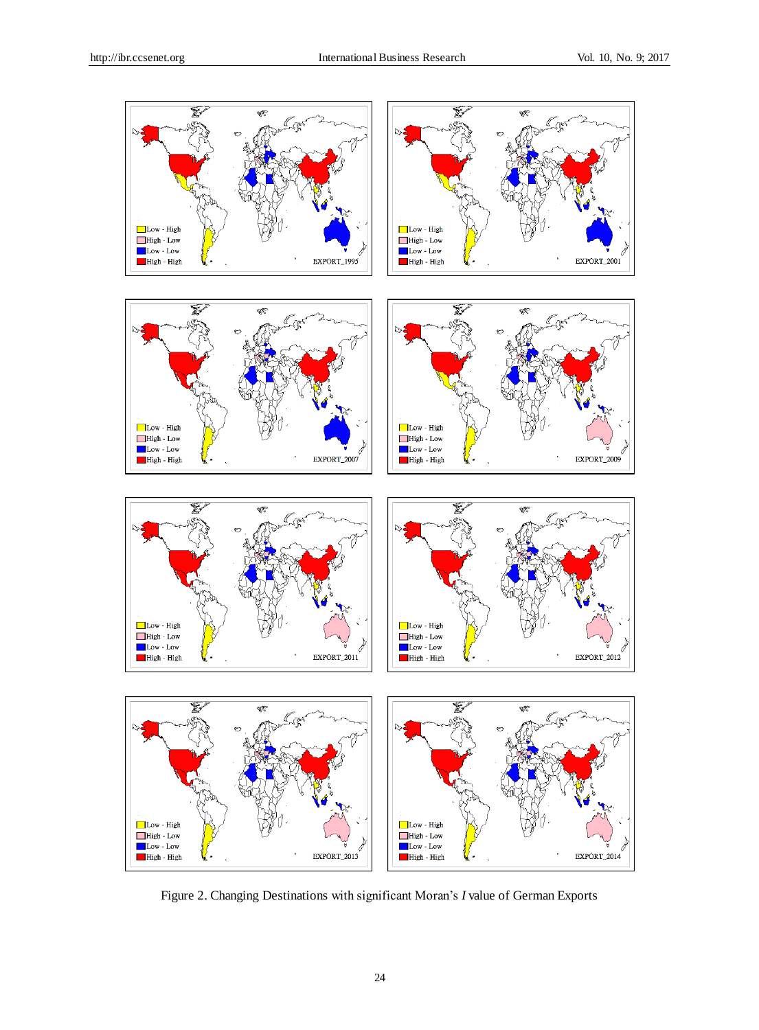

Figure 2. Changing Destinations with significant Moran's *I* value of German Exports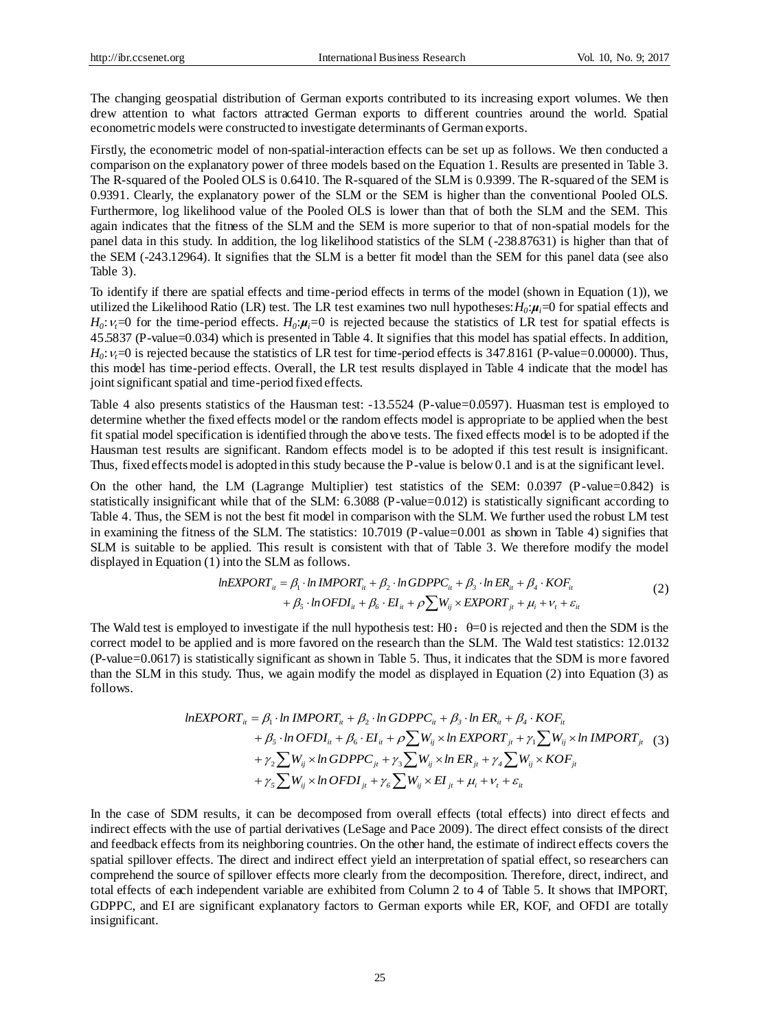The changing geospatial distribution of German exports contributed to its increasing export volumes. We then drew attention to what factors attracted German exports to different countries around the world. Spatial econometric models were constructed to investigate determinants of German exports.

Firstly, the econometric model of non-spatial-interaction effects can be set up as follows. We then conducted a comparison on the explanatory power of three models based on the Equation 1. Results are presented in Table 3. The R-squared of the Pooled OLS is 0.6410. The R-squared of the SLM is 0.9399. The R-squared of the SEM is 0.9391. Clearly, the explanatory power of the SLM or the SEM is higher than the conventional Pooled OLS. Furthermore, log likelihood value of the Pooled OLS is lower than that of both the SLM and the SEM. This again indicates that the fitness of the SLM and the SEM is more superior to that of non-spatial models for the panel data in this study. In addition, the log likelihood statistics of the SLM (-238.87631) is higher than that of the SEM (-243.12964). It signifies that the SLM is a better fit model than the SEM for this panel data (see also Table 3).

To identify if there are spatial effects and time-period effects in terms of the model (shown in Equation (1)), we utilized the Likelihood Ratio (LR) test. The LR test examines two null hypotheses:*H<sup>0</sup>* :*μi=*0 for spatial effects and  $H_0: v_i = 0$  for the time-period effects.  $H_0: \mu_i = 0$  is rejected because the statistics of LR test for spatial effects is 45.5837 (P-value=0.034) which is presented in Table 4. It signifies that this model has spatial effects. In addition,  $H_0: v_t$ =0 is rejected because the statistics of LR test for time-period effects is 347.8161 (P-value=0.00000). Thus, this model has time-period effects. Overall, the LR test results displayed in Table 4 indicate that the model has joint significant spatial and time-period fixed effects.

Table 4 also presents statistics of the Hausman test: -13.5524 (P-value=0.0597). Huasman test is employed to determine whether the fixed effects model or the random effects model is appropriate to be applied when the best fit spatial model specification is identified through the above tests. The fixed effects model is to be adopted if the Hausman test results are significant. Random effects model is to be adopted if this test result is insignificant. Thus, fixed effects model is adopted in this study because the P-value is below 0.1 and is at the significant level.

On the other hand, the LM (Lagrange Multiplier) test statistics of the SEM: 0.0397 (P-value=0.842) is statistically insignificant while that of the SLM: 6.3088 (P-value=0.012) is statistically significant according to Table 4. Thus, the SEM is not the best fit model in comparison with the SLM. We further used the robust LM test in examining the fitness of the SLM. The statistics: 10.7019 (P-value=0.001 as shown in Table 4) signifies that SLM is suitable to be applied. This result is consistent with that of Table 3. We therefore modify the model displayed in Equation (1) into the SLM as follows.

$$
lnEXPORTit = \beta_1 \cdot ln IMPORTit + \beta_2 \cdot ln GDPPCit + \beta_3 \cdot ln ERit + \beta_4 \cdot KOFit
$$
  
+  $\beta_5 \cdot ln OFDIit + \beta_6 \cdot EIit + \rho \sum Wij \times EXPORTjt + \mu_i + \nu_i + \varepsilon_{it}$  (2)

The Wald test is employed to investigate if the null hypothesis test: H0:  $\theta$ =0 is rejected and then the SDM is the correct model to be applied and is more favored on the research than the SLM. The Wald test statistics: 12.0132 (P-value=0.0617) is statistically significant as shown in Table 5. Thus, it indicates that the SDM is more favored than the SLM in this study. Thus, we again modify the model as displayed in Equation (2) into Equation (3) as follows.

$$
lnEXPORT_{ii} = \beta_1 \cdot ln IMPORT_{ii} + \beta_2 \cdot ln GDPPC_{ii} + \beta_3 \cdot ln ER_{ii} + \beta_4 \cdot KOF_{ii}
$$
  
+  $\beta_5 \cdot ln OFDI_{ii} + \beta_6 \cdot EI_{ii} + \rho \sum W_{ij} \times ln EXPORT_{ji} + \gamma_1 \sum W_{ij} \times ln IMPORT_{ji}$  (3)  
+  $\gamma_2 \sum W_{ij} \times ln GDPPC_{ji} + \gamma_3 \sum W_{ij} \times ln ER_{ji} + \gamma_4 \sum W_{ij} \times KOF_{ji}$   
+  $\gamma_5 \sum W_{ij} \times ln OFDI_{ji} + \gamma_6 \sum W_{ij} \times EI_{ji} + \mu_i + \nu_i + \varepsilon_{ii}$ 

In the case of SDM results, it can be decomposed from overall effects (total effects) into direct effects and indirect effects with the use of partial derivatives (LeSage and Pace 2009). The direct effect consists of the direct and feedback effects from its neighboring countries. On the other hand, the estimate of indirect effects covers the spatial spillover effects. The direct and indirect effect yield an interpretation of spatial effect, so researchers can comprehend the source of spillover effects more clearly from the decomposition. Therefore, direct, indirect, and total effects of each independent variable are exhibited from Column 2 to 4 of Table 5. It shows that IMPORT, GDPPC, and EI are significant explanatory factors to German exports while ER, KOF, and OFDI are totally insignificant.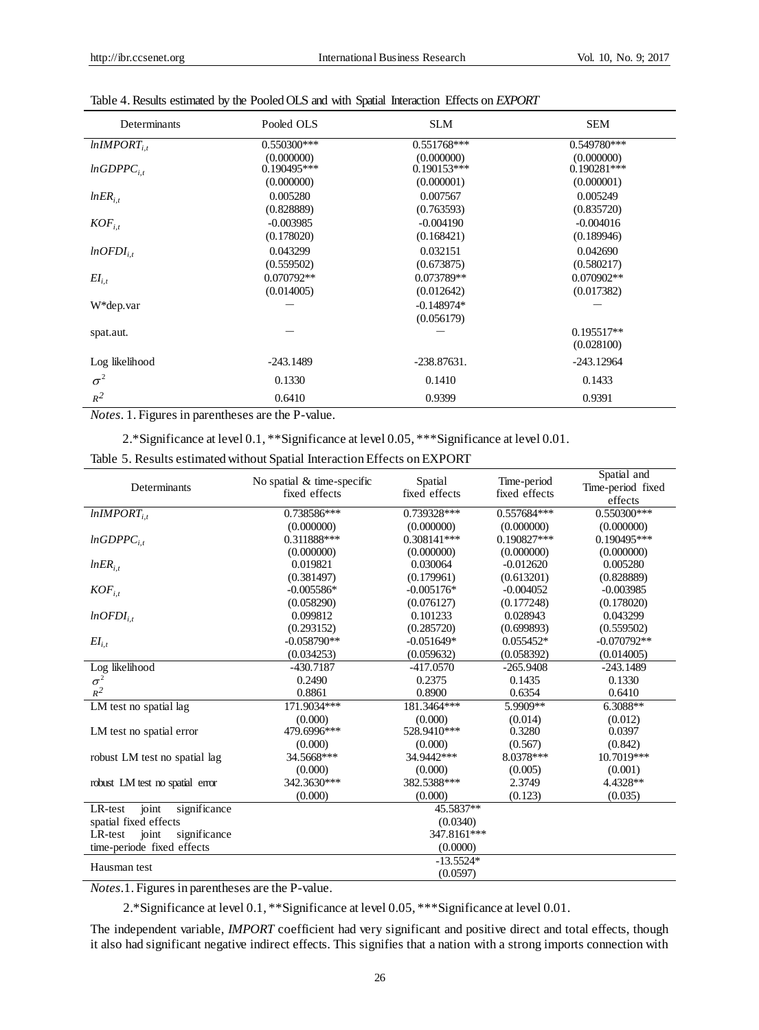| Determinants     | Pooled OLS                                | <b>SLM</b>                                | <b>SEM</b>                                |
|------------------|-------------------------------------------|-------------------------------------------|-------------------------------------------|
| $lnIMPORT_{i,t}$ | $0.550300***$                             | $0.551768***$                             | $0.549780***$                             |
| $lnGDPPC_{i}$    | (0.000000)<br>$0.190495***$<br>(0.000000) | (0.000000)<br>$0.190153***$<br>(0.000001) | (0.000000)<br>$0.190281***$<br>(0.000001) |
| $lnER_{i.t}$     | 0.005280<br>(0.828889)                    | 0.007567<br>(0.763593)                    | 0.005249<br>(0.835720)                    |
| $KOF_{i,t}$      | $-0.003985$<br>(0.178020)                 | $-0.004190$<br>(0.168421)                 | $-0.004016$<br>(0.189946)                 |
| $lnOFDI_{i,t}$   | 0.043299<br>(0.559502)                    | 0.032151<br>(0.673875)                    | 0.042690<br>(0.580217)                    |
| $EI_{i,t}$       | $0.070792**$<br>(0.014005)                | $0.073789**$<br>(0.012642)                | $0.070902**$<br>(0.017382)                |
| W*dep.var        |                                           | $-0.148974*$<br>(0.056179)                |                                           |
| spat.aut.        |                                           |                                           | $0.195517**$<br>(0.028100)                |
| Log likelihood   | $-243.1489$                               | $-238.87631.$                             | $-243.12964$                              |
| $\sigma^2$       | 0.1330                                    | 0.1410                                    | 0.1433                                    |
| $R^2$            | 0.6410                                    | 0.9399                                    | 0.9391                                    |

# Table 4. Results estimated by the Pooled OLS and with Spatial Interaction Effects on *EXPORT*

*Notes.* 1. Figures in parentheses are the P-value.

2.\*Significance at level 0.1, \*\*Significance at level 0.05, \*\*\*Significance at level 0.01.

| Table 5. Results estimated without Spatial Interaction Effects on EXPORT |
|--------------------------------------------------------------------------|
|--------------------------------------------------------------------------|

|                                  | No spatial & time-specific | Spatial       | Time-period   | Spatial and       |
|----------------------------------|----------------------------|---------------|---------------|-------------------|
| Determinants                     | fixed effects              | fixed effects | fixed effects | Time-period fixed |
|                                  |                            |               |               | effects           |
| $lnIMPORT_{i}$ ,                 | 0.738586***                | 0.739328***   | 0.557684***   | $0.550300***$     |
|                                  | (0.000000)                 | (0.000000)    | (0.000000)    | (0.000000)        |
| $lnGDPPC$ <sub>i.t</sub>         | 0.311888***                | $0.308141***$ | 0.190827***   | 0.190495***       |
|                                  | (0.000000)                 | (0.000000)    | (0.000000)    | (0.000000)        |
| $lnER_{i.t}$                     | 0.019821                   | 0.030064      | $-0.012620$   | 0.005280          |
|                                  | (0.381497)                 | (0.179961)    | (0.613201)    | (0.828889)        |
| $KOF_{i,t}$                      | $-0.005586*$               | $-0.005176*$  | $-0.004052$   | $-0.003985$       |
|                                  | (0.058290)                 | (0.076127)    | (0.177248)    | (0.178020)        |
| $lnOFDI_{i,t}$                   | 0.099812                   | 0.101233      | 0.028943      | 0.043299          |
|                                  | (0.293152)                 | (0.285720)    | (0.699893)    | (0.559502)        |
| $EI_{i,t}$                       | $-0.058790**$              | $-0.051649*$  | $0.055452*$   | $-0.070792**$     |
|                                  | (0.034253)                 | (0.059632)    | (0.058392)    | (0.014005)        |
| Log likelihood                   | $-430.7187$                | $-417.0570$   | $-265.9408$   | $-243.1489$       |
| $\sigma^2$                       | 0.2490                     | 0.2375        | 0.1435        | 0.1330            |
| $R^2$                            | 0.8861                     | 0.8900        | 0.6354        | 0.6410            |
| LM test no spatial lag           | 171.9034***                | 181.3464***   | 5.9909**      | $6.3088**$        |
|                                  | (0.000)                    | (0.000)       | (0.014)       | (0.012)           |
| LM test no spatial error         | 479.6996***                | 528.9410***   | 0.3280        | 0.0397            |
|                                  | (0.000)                    | (0.000)       | (0.567)       | (0.842)           |
| robust LM test no spatial lag    | 34.5668***                 | 34.9442***    | 8.0378***     | 10.7019***        |
|                                  | (0.000)                    | (0.000)       | (0.005)       | (0.001)           |
| robust LM test no spatial error  | 342.3630***                | 382.5388***   | 2.3749        | 4.4328**          |
|                                  | (0.000)                    | (0.000)       | (0.123)       | (0.035)           |
| joint<br>significance<br>LR-test |                            | 45.5837**     |               |                   |
| spatial fixed effects            |                            | (0.0340)      |               |                   |
| joint<br>LR-test<br>significance |                            | 347.8161***   |               |                   |
| time-periode fixed effects       |                            | (0.0000)      |               |                   |
|                                  |                            | $-13.5524*$   |               |                   |
| Hausman test                     |                            | (0.0597)      |               |                   |

*Notes.*1. Figures in parentheses are the P-value.

2.\*Significance at level 0.1, \*\*Significance at level 0.05, \*\*\*Significance at level 0.01.

The independent variable, *IMPORT* coefficient had very significant and positive direct and total effects, though it also had significant negative indirect effects. This signifies that a nation with a strong imports connection with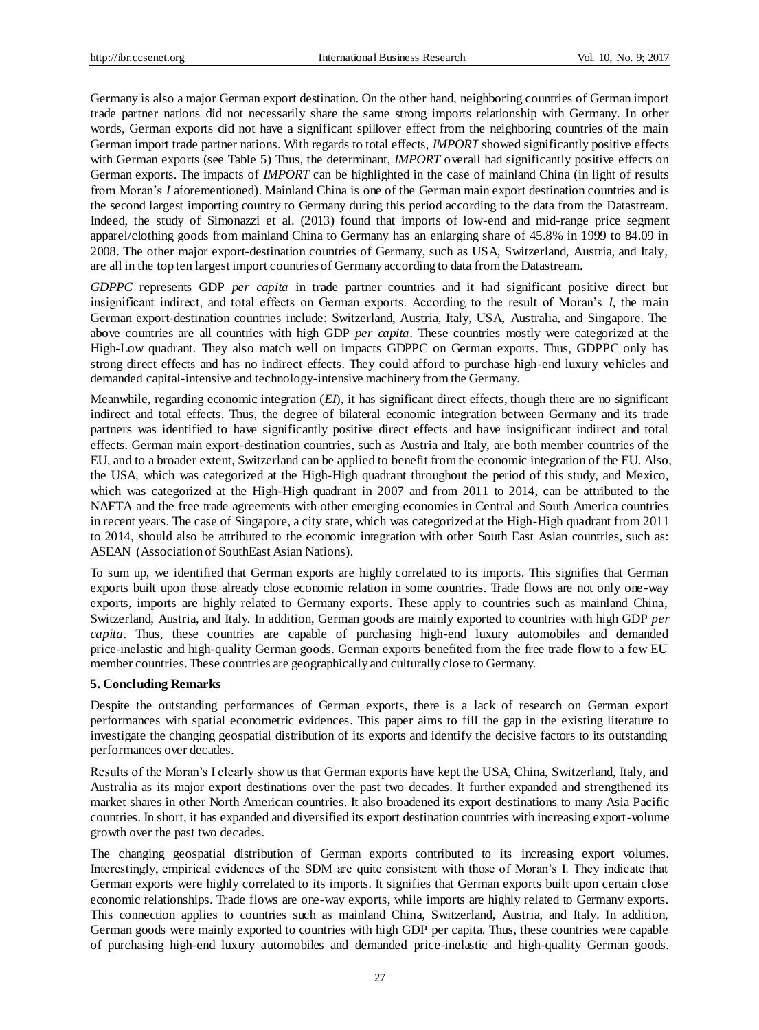Germany is also a major German export destination. On the other hand, neighboring countries of German import trade partner nations did not necessarily share the same strong imports relationship with Germany. In other words, German exports did not have a significant spillover effect from the neighboring countries of the main German import trade partner nations. With regards to total effects, *IMPORT* showed significantly positive effects with German exports (see Table 5) Thus, the determinant, *IMPORT* overall had significantly positive effects on German exports. The impacts of *IMPORT* can be highlighted in the case of mainland China (in light of results from Moran's *I* aforementioned). Mainland China is one of the German main export destination countries and is the second largest importing country to Germany during this period according to the data from the Datastream. Indeed, the study of Simonazzi et al. (2013) found that imports of low-end and mid-range price segment apparel/clothing goods from mainland China to Germany has an enlarging share of 45.8% in 1999 to 84.09 in 2008. The other major export-destination countries of Germany, such as USA, Switzerland, Austria, and Italy, are all in the top ten largest import countries of Germany according to data from the Datastream.

*GDPPC* represents GDP *per capita* in trade partner countries and it had significant positive direct but insignificant indirect, and total effects on German exports. According to the result of Moran's *I*, the main German export-destination countries include: Switzerland, Austria, Italy, USA, Australia, and Singapore. The above countries are all countries with high GDP *per capita*. These countries mostly were categorized at the High-Low quadrant. They also match well on impacts GDPPC on German exports. Thus, GDPPC only has strong direct effects and has no indirect effects. They could afford to purchase high-end luxury vehicles and demanded capital-intensive and technology-intensive machinery from the Germany.

Meanwhile, regarding economic integration (*EI*), it has significant direct effects, though there are no significant indirect and total effects. Thus, the degree of bilateral economic integration between Germany and its trade partners was identified to have significantly positive direct effects and have insignificant indirect and total effects. German main export-destination countries, such as Austria and Italy, are both member countries of the EU, and to a broader extent, Switzerland can be applied to benefit from the economic integration of the EU. Also, the USA, which was categorized at the High-High quadrant throughout the period of this study, and Mexico, which was categorized at the High-High quadrant in 2007 and from 2011 to 2014, can be attributed to the NAFTA and the free trade agreements with other emerging economies in Central and South America countries in recent years. The case of Singapore, a city state, which was categorized at the High-High quadrant from 2011 to 2014, should also be attributed to the economic integration with other South East Asian countries, such as: ASEAN (Association of SouthEast Asian Nations).

To sum up, we identified that German exports are highly correlated to its imports. This signifies that German exports built upon those already close economic relation in some countries. Trade flows are not only one-way exports, imports are highly related to Germany exports. These apply to countries such as mainland China, Switzerland, Austria, and Italy. In addition, German goods are mainly exported to countries with high GDP *per capita*. Thus, these countries are capable of purchasing high-end luxury automobiles and demanded price-inelastic and high-quality German goods. German exports benefited from the free trade flow to a few EU member countries. These countries are geographically and culturally close to Germany.

#### **5. Concluding Remarks**

Despite the outstanding performances of German exports, there is a lack of research on German export performances with spatial econometric evidences. This paper aims to fill the gap in the existing literature to investigate the changing geospatial distribution of its exports and identify the decisive factors to its outstanding performances over decades.

Results of the Moran's I clearly show us that German exports have kept the USA, China, Switzerland, Italy, and Australia as its major export destinations over the past two decades. It further expanded and strengthened its market shares in other North American countries. It also broadened its export destinations to many Asia Pacific countries. In short, it has expanded and diversified its export destination countries with increasing export-volume growth over the past two decades.

The changing geospatial distribution of German exports contributed to its increasing export volumes. Interestingly, empirical evidences of the SDM are quite consistent with those of Moran's I. They indicate that German exports were highly correlated to its imports. It signifies that German exports built upon certain close economic relationships. Trade flows are one-way exports, while imports are highly related to Germany exports. This connection applies to countries such as mainland China, Switzerland, Austria, and Italy. In addition, German goods were mainly exported to countries with high GDP per capita. Thus, these countries were capable of purchasing high-end luxury automobiles and demanded price-inelastic and high-quality German goods.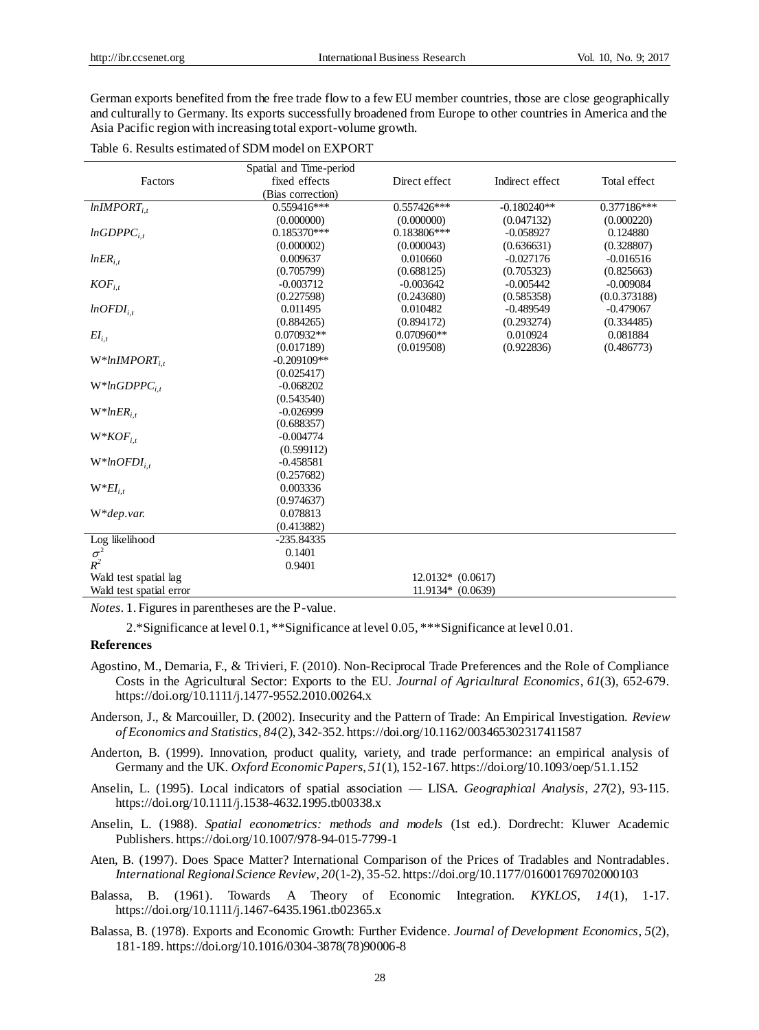German exports benefited from the free trade flow to a few EU member countries, those are close geographically and culturally to Germany. Its exports successfully broadened from Europe to other countries in America and the Asia Pacific region with increasing total export-volume growth.

| Table 6. Results estimated of SDM model on EXPORT |  |  |  |  |  |  |  |  |
|---------------------------------------------------|--|--|--|--|--|--|--|--|
|---------------------------------------------------|--|--|--|--|--|--|--|--|

|                         | Spatial and Time-period |                     |                 |               |
|-------------------------|-------------------------|---------------------|-----------------|---------------|
| Factors                 | fixed effects           | Direct effect       | Indirect effect | Total effect  |
|                         | (Bias correction)       |                     |                 |               |
| $lnIMPORT_{i}$          | $0.559416***$           | $0.557426***$       | $-0.180240**$   | $0.377186***$ |
|                         | (0.000000)              | (0.000000)          | (0.047132)      | (0.000220)    |
| $lnGDPPC_i$             | $0.185370***$           | $0.183806***$       | $-0.058927$     | 0.124880      |
|                         | (0.000002)              | (0.000043)          | (0.636631)      | (0.328807)    |
| $lnER_{i.t}$            | 0.009637                | 0.010660            | $-0.027176$     | $-0.016516$   |
|                         | (0.705799)              | (0.688125)          | (0.705323)      | (0.825663)    |
| $KOF_{i,t}$             | $-0.003712$             | $-0.003642$         | $-0.005442$     | $-0.009084$   |
|                         | (0.227598)              | (0.243680)          | (0.585358)      | (0.0.373188)  |
| $lnOFDI_{i,t}$          | 0.011495                | 0.010482            | $-0.489549$     | $-0.479067$   |
|                         | (0.884265)              | (0.894172)          | (0.293274)      | (0.334485)    |
| $EI_{i,t}$              | 0.070932**              | $0.070960**$        | 0.010924        | 0.081884      |
|                         | (0.017189)              | (0.019508)          | (0.922836)      | (0.486773)    |
| $W^*lnIMPORT_{i}$       | $-0.209109**$           |                     |                 |               |
|                         | (0.025417)              |                     |                 |               |
| $W^*lnGDPPC_{i.t}$      | $-0.068202$             |                     |                 |               |
|                         | (0.543540)              |                     |                 |               |
| $W^*lnER_i$             | $-0.026999$             |                     |                 |               |
|                         | (0.688357)              |                     |                 |               |
| $W^*KOF_{i,t}$          | $-0.004774$             |                     |                 |               |
|                         | (0.599112)              |                     |                 |               |
| $W^*lnOFDI_{i}$         | $-0.458581$             |                     |                 |               |
|                         | (0.257682)              |                     |                 |               |
| $W^*EI_{i,t}$           | 0.003336                |                     |                 |               |
|                         | (0.974637)              |                     |                 |               |
| W*dep.var.              | 0.078813                |                     |                 |               |
|                         | (0.413882)              |                     |                 |               |
| Log likelihood          | $-235.84335$            |                     |                 |               |
| $\sigma_{\rm s}^2$      | 0.1401                  |                     |                 |               |
| $R^2$                   | 0.9401                  |                     |                 |               |
| Wald test spatial lag   |                         | $12.0132*$ (0.0617) |                 |               |
| Wald test spatial error |                         | $11.9134*$ (0.0639) |                 |               |

*Notes.* 1. Figures in parentheses are the P-value.

2.\*Significance at level 0.1, \*\*Significance at level 0.05, \*\*\*Significance at level 0.01.

#### **References**

- Agostino, M., Demaria, F., & Trivieri, F. (2010). Non-Reciprocal Trade Preferences and the Role of Compliance Costs in the Agricultural Sector: Exports to the EU. *Journal of Agricultural Economics*, *61*(3), 652-679. https://doi.org/10.1111/j.1477-9552.2010.00264.x
- Anderson, J., & Marcouiller, D. (2002). Insecurity and the Pattern of Trade: An Empirical Investigation. *Review of Economics and Statistics, 84*(2), 342-352. https://doi.org/10.1162/003465302317411587
- Anderton, B. (1999). Innovation, product quality, variety, and trade performance: an empirical analysis of Germany and the UK. *Oxford Economic Papers*, *51*(1), 152-167. https://doi.org/10.1093/oep/51.1.152
- Anselin, L. (1995). Local indicators of spatial association LISA. *Geographical Analysis*, *27*(2), 93-115. https://doi.org/10.1111/j.1538-4632.1995.tb00338.x
- Anselin, L. (1988). *Spatial econometrics: methods and models* (1st ed.). Dordrecht: Kluwer Academic Publishers. https://doi.org/10.1007/978-94-015-7799-1
- Aten, B. (1997). Does Space Matter? International Comparison of the Prices of Tradables and Nontradables. *International Regional Science Review*, *20*(1-2), 35-52. https://doi.org/10.1177/016001769702000103
- Balassa, B. (1961). Towards A Theory of Economic Integration. *KYKLOS*, *14*(1), 1-17. https://doi.org/10.1111/j.1467-6435.1961.tb02365.x
- Balassa, B. (1978). Exports and Economic Growth: Further Evidence. *Journal of Development Economics*, *5*(2), 181-189. https://doi.org/10.1016/0304-3878(78)90006-8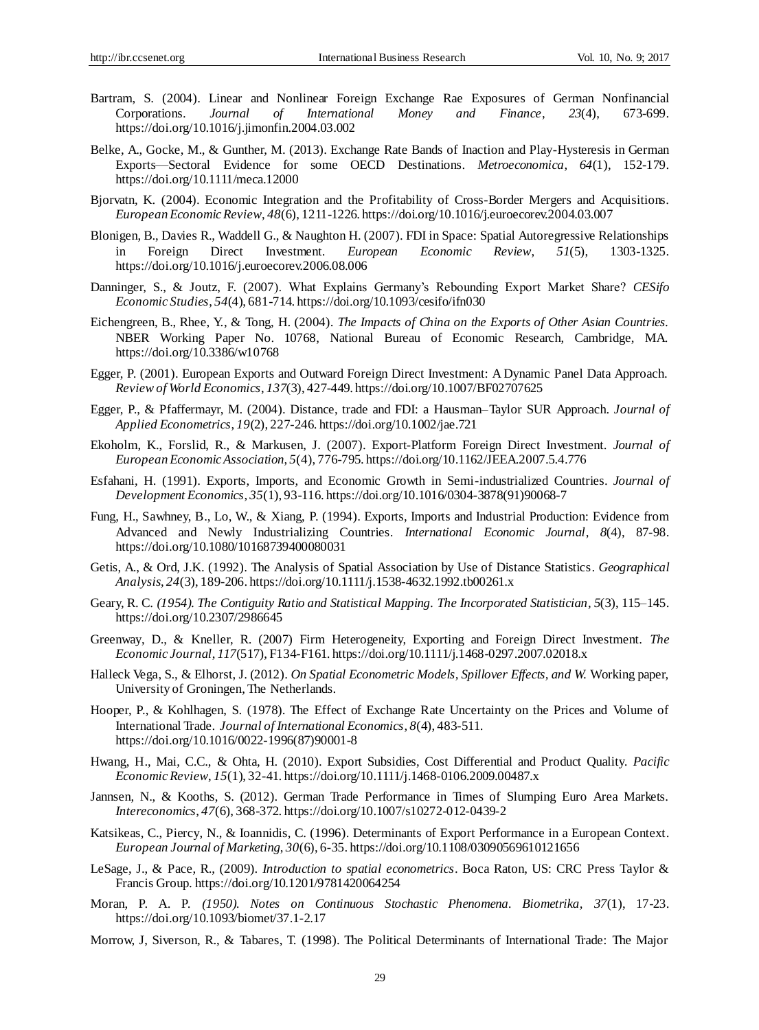- Bartram, S. (2004). Linear and Nonlinear Foreign Exchange Rae Exposures of German Nonfinancial Corporations. *Journal of International Money and Finance*, *23*(4), 673-699. https://doi.org/10.1016/j.jimonfin.2004.03.002
- Belke, A., Gocke, M., & Gunther, M. (2013). Exchange Rate Bands of Inaction and Play-Hysteresis in German Exports—Sectoral Evidence for some OECD Destinations. *Metroeconomica*, *64*(1), 152-179. https://doi.org/10.1111/meca.12000
- Bjorvatn, K. (2004). Economic Integration and the Profitability of Cross-Border Mergers and Acquisitions. *European Economic Review*, *48*(6), 1211-1226. https://doi.org/10.1016/j.euroecorev.2004.03.007
- Blonigen, B., Davies R., Waddell G., & Naughton H. (2007). FDI in Space: Spatial Autoregressive Relationships in Foreign Direct Investment. *European Economic Review*, *51*(5), 1303-1325. https://doi.org/10.1016/j.euroecorev.2006.08.006
- Danninger, S., & Joutz, F. (2007). What Explains Germany's Rebounding Export Market Share? *CESifo Economic Studies*, *54*(4), 681-714. https://doi.org/10.1093/cesifo/ifn030
- Eichengreen, B., Rhee, Y., & Tong, H. (2004). *The Impacts of China on the Exports of Other Asian Countries.* NBER Working Paper No. 10768, National Bureau of Economic Research, Cambridge, MA. https://doi.org/10.3386/w10768
- Egger, P. (2001). European Exports and Outward Foreign Direct Investment: A Dynamic Panel Data Approach. *Review of World Economics*, *137*(3), 427-449. https://doi.org/10.1007/BF02707625
- Egger, P., & Pfaffermayr, M. (2004). Distance, trade and FDI: a Hausman–Taylor SUR Approach. *Journal of Applied Econometrics*, *19*(2), 227-246. https://doi.org/10.1002/jae.721
- Ekoholm, K., Forslid, R., & Markusen, J. (2007). Export-Platform Foreign Direct Investment. *Journal of European Economic Association*, *5*(4), 776-795. https://doi.org/10.1162/JEEA.2007.5.4.776
- Esfahani, H. (1991). Exports, Imports, and Economic Growth in Semi-industrialized Countries. *Journal of Development Economics*, *35*(1), 93-116. https://doi.org/10.1016/0304-3878(91)90068-7
- Fung, H., Sawhney, B., Lo, W., & Xiang, P. (1994). Exports, Imports and Industrial Production: Evidence from Advanced and Newly Industrializing Countries. *International Economic Journal*, *8*(4), 87-98. https://doi.org/10.1080/10168739400080031
- Getis, A., & Ord, J.K. (1992). [The Analysis of Spatial Association by Use of Distance Statistics.](http://onlinelibrary.wiley.com/doi/10.1111/j.1538-4632.1992.tb00261.x/abstract) *Geographical Analysis*, *24*(3), 189-206. https://doi.org/10.1111/j.1538-4632.1992.tb00261.x
- [Geary, R. C.](https://en.wikipedia.org/wiki/Roy_C._Geary) *(1954). The Contiguity Ratio and Statistical Mapping[. The Incorporated Statistician,](https://en.wikipedia.org/w/index.php?title=The_Incorporated_Statistician&action=edit&redlink=1) 5*(3), 115–145. https://doi.org/10.2307/2986645
- Greenway, D., & Kneller, R. (2007) Firm Heterogeneity, Exporting and Foreign Direct Investment. *The Economic Journal*, *117*(517), F134-F161. https://doi.org/10.1111/j.1468-0297.2007.02018.x
- Halleck Vega, S., & Elhorst, J. (2012). *On Spatial Econometric Models, Spillover Effects, and W.* Working paper, University of Groningen, The Netherlands.
- Hooper, P., & Kohlhagen, S. (1978). The Effect of Exchange Rate Uncertainty on the Prices and Volume of International Trade. *Journal of International Economics*, *8*(4), 483-511. https://doi.org/10.1016/0022-1996(87)90001-8
- Hwang, H., Mai, C.C., & Ohta, H. (2010). Export Subsidies, Cost Differential and Product Quality. *Pacific Economic Review*, *15*(1), 32-41. https://doi.org/10.1111/j.1468-0106.2009.00487.x
- Jannsen, N., & Kooths, S. (2012). German Trade Performance in Times of Slumping Euro Area Markets. *Intereconomics*, *47*(6), 368-372. https://doi.org/10.1007/s10272-012-0439-2
- Katsikeas, C., Piercy, N., & Ioannidis, C. (1996). Determinants of Export Performance in a European Context. *European Journal of Marketing*, *30*(6), 6-35. https://doi.org/10.1108/03090569610121656
- LeSage, J., & Pace, R., (2009). *Introduction to spatial econometrics*. Boca Raton, US: CRC Press Taylor & Francis Group. https://doi.org/10.1201/9781420064254
- [Moran, P. A. P.](https://en.wikipedia.org/wiki/Pat_Moran_(statistician)) *(1950). Notes on Continuous Stochastic Phenomena. Biometrika, 37*(1), 17-23. https://doi.org/10.1093/biomet/37.1-2.17
- Morrow, J, Siverson, R., & Tabares, T. (1998). The Political Determinants of International Trade: The Major